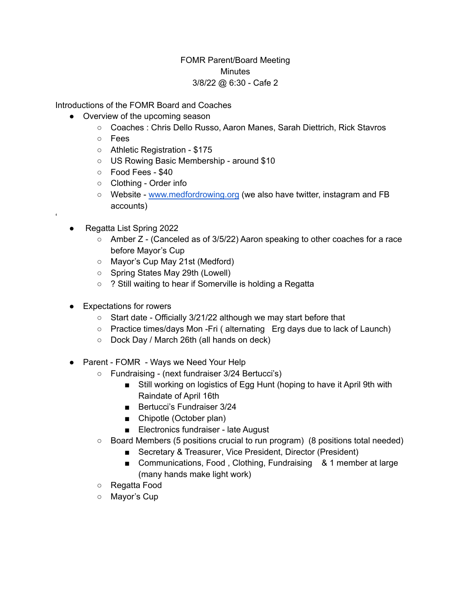## FOMR Parent/Board Meeting **Minutes** 3/8/22 @ 6:30 - Cafe 2

Introductions of the FOMR Board and Coaches

- Overview of the upcoming season
	- Coaches : Chris Dello Russo, Aaron Manes, Sarah Diettrich, Rick Stavros
	- Fees
	- Athletic Registration \$175
	- US Rowing Basic Membership around \$10
	- Food Fees \$40
	- Clothing Order info
	- Website [www.medfordrowing.org](http://www.medfordrowing.org) (we also have twitter, instagram and FB accounts)
- Regatta List Spring 2022

'

- Amber Z (Canceled as of 3/5/22) Aaron speaking to other coaches for a race before Mayor's Cup
- Mayor's Cup May 21st (Medford)
- Spring States May 29th (Lowell)
- ? Still waiting to hear if Somerville is holding a Regatta
- Expectations for rowers
	- Start date Officially 3/21/22 although we may start before that
	- Practice times/days Mon -Fri ( alternating Erg days due to lack of Launch)
	- Dock Day / March 26th (all hands on deck)
- Parent FOMR Ways we Need Your Help
	- Fundraising (next fundraiser 3/24 Bertucci's)
		- Still working on logistics of Egg Hunt (hoping to have it April 9th with Raindate of April 16th
		- Bertucci's Fundraiser 3/24
		- Chipotle (October plan)
		- Electronics fundraiser late August
	- $\circ$  Board Members (5 positions crucial to run program) (8 positions total needed)
		- Secretary & Treasurer, Vice President, Director (President)
		- Communications, Food, Clothing, Fundraising & 1 member at large (many hands make light work)
	- Regatta Food
	- Mayor's Cup